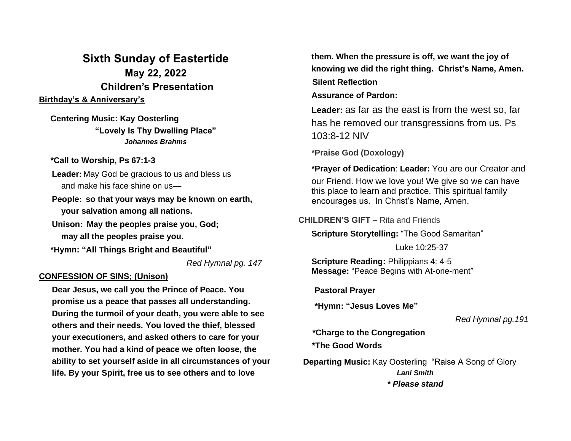## **Sixth Sunday of Eastertide May 22, 2022 Children's Presentation Birthday's & Anniversary's**

 **Centering Music: Kay Oosterling "Lovely Is Thy Dwelling Place"** *Johannes Brahms*

#### **\*Call to Worship, Ps 67:1-3**

**Leader:** May God be gracious to us and bless us and make his face shine on us—

### **People: so that your ways may be known on earth, your salvation among all nations.**

**Unison: May the peoples praise you, God; may all the peoples praise you.**

 **\*Hymn: "All Things Bright and Beautiful"** 

*Red Hymnal pg. 147*

#### **CONFESSION OF SINS; (Unison)**

**Dear Jesus, we call you the Prince of Peace. You promise us a peace that passes all understanding. During the turmoil of your death, you were able to see others and their needs. You loved the thief, blessed your executioners, and asked others to care for your mother. You had a kind of peace we often loose, the ability to set yourself aside in all circumstances of your life. By your Spirit, free us to see others and to love** 

**them. When the pressure is off, we want the joy of knowing we did the right thing. Christ's Name, Amen. Silent Reflection**

#### **Assurance of Pardon:**

**Leader:** as far as the east is from the west so, far has he removed our transgressions from us. Ps 103:8-12 NIV

**\*Praise God (Doxology)**

**\*Prayer of Dedication**: **Leader:** You are our Creator and our Friend. How we love you! We give so we can have this place to learn and practice. This spiritual family encourages us. In Christ's Name, Amen.

**CHILDREN'S GIFT –** Rita and Friends

**Scripture Storytelling:** "The Good Samaritan"

Luke 10:25-37

**Scripture Reading:** Philippians 4: 4-5 **Message:** "Peace Begins with At-one-ment"

**Pastoral Prayer** 

 **\*Hymn: "Jesus Loves Me"**

*Red Hymnal pg.191*

 **\*Charge to the Congregation \*The Good Words**

 **Departing Music:** Kay Oosterling "Raise A Song of Glory *Lani Smith*

*\* Please stand*